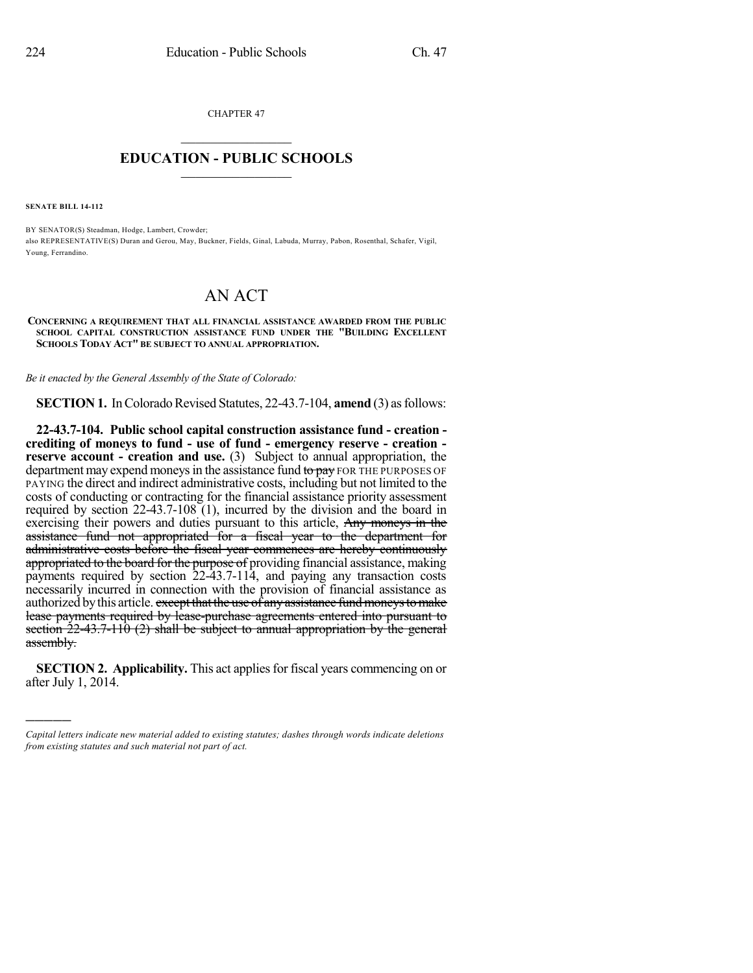CHAPTER 47  $\overline{\phantom{a}}$  . The set of the set of the set of the set of the set of the set of the set of the set of the set of the set of the set of the set of the set of the set of the set of the set of the set of the set of the set o

## **EDUCATION - PUBLIC SCHOOLS**  $\_$   $\_$   $\_$   $\_$   $\_$   $\_$   $\_$   $\_$   $\_$

**SENATE BILL 14-112**

)))))

BY SENATOR(S) Steadman, Hodge, Lambert, Crowder; also REPRESENTATIVE(S) Duran and Gerou, May, Buckner, Fields, Ginal, Labuda, Murray, Pabon, Rosenthal, Schafer, Vigil, Young, Ferrandino.

## AN ACT

**CONCERNING A REQUIREMENT THAT ALL FINANCIAL ASSISTANCE AWARDED FROM THE PUBLIC SCHOOL CAPITAL CONSTRUCTION ASSISTANCE FUND UNDER THE "BUILDING EXCELLENT SCHOOLS TODAY ACT" BE SUBJECT TO ANNUAL APPROPRIATION.**

*Be it enacted by the General Assembly of the State of Colorado:*

**SECTION 1.** In Colorado Revised Statutes, 22-43.7-104, **amend** (3) as follows:

**22-43.7-104. Public school capital construction assistance fund - creation crediting of moneys to fund - use of fund - emergency reserve - creation reserve account - creation and use.** (3) Subject to annual appropriation, the department may expend moneys in the assistance fund to pay FOR THE PURPOSES OF PAYING the direct and indirect administrative costs, including but not limited to the costs of conducting or contracting for the financial assistance priority assessment required by section 22-43.7-108 (1), incurred by the division and the board in exercising their powers and duties pursuant to this article, Any moneys in the assistance fund not appropriated for a fiscal year to the department for administrative costs before the fiscal year commences are hereby continuously appropriated to the board for the purpose of providing financial assistance, making payments required by section 22-43.7-114, and paying any transaction costs necessarily incurred in connection with the provision of financial assistance as authorized by this article. except that the use of any assistance fund moneys to make lease payments required by lease-purchase agreements entered into pursuant to section 22-43.7-110 (2) shall be subject to annual appropriation by the general assembly.

**SECTION 2. Applicability.** This act applies for fiscal years commencing on or after July 1, 2014.

*Capital letters indicate new material added to existing statutes; dashes through words indicate deletions from existing statutes and such material not part of act.*